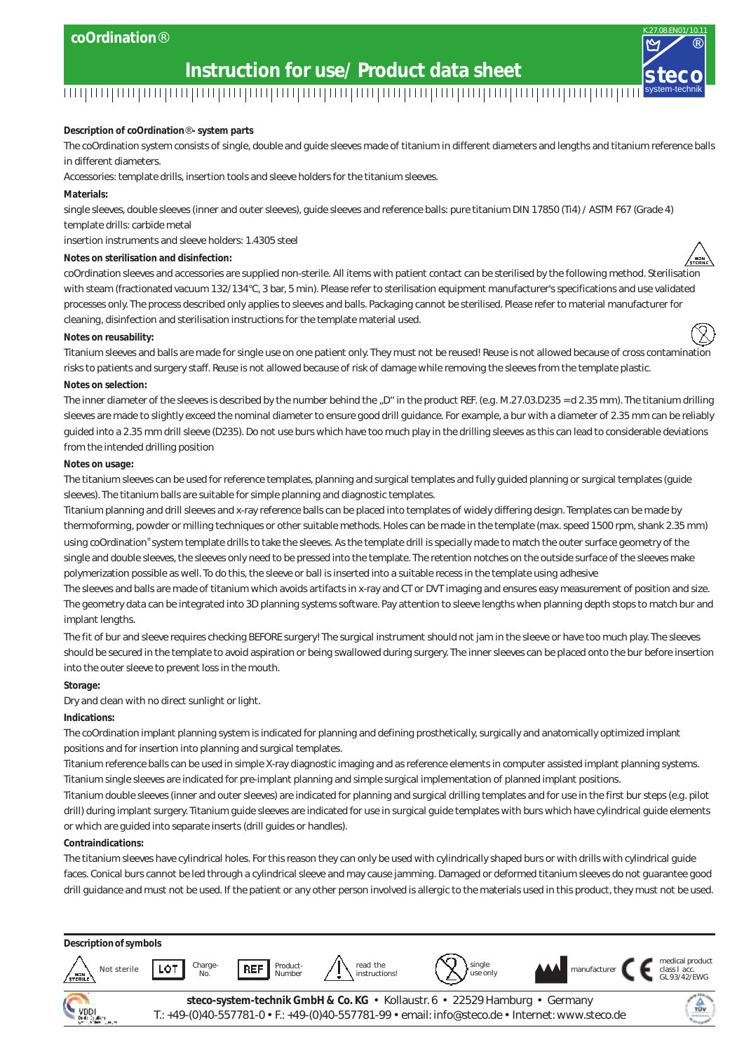#### **coOrdination**®

## system-technik **Instruction for use/ Product data sheet**<br>THE INSTRUCT ON THE INSTRUCT OF THE INSTRUCT OF THE INSTRUCT OF THE INSTRUCT OF THE INSTRUCT OF THE INSTRUCT O

**Description of coOrdination**® **- system parts**

The coOrdination system consists of single, double and guide sleeves made of titanium in different diameters and lengths and titanium reference balls in different diameters.

®

K.27.08.EN01/10.11

Accessories: template drills, insertion tools and sleeve holders for the titanium sleeves.

**Materials:**

single sleeves, double sleeves (inner and outer sleeves), guide sleeves and reference balls: pure titanium DIN 17850 (Ti4) / ASTM F67 (Grade 4) template drills: carbide metal

insertion instruments and sleeve holders: 1.4305 steel

**Notes on sterilisation and disinfection:**

coOrdination sleeves and accessories are supplied non-sterile. All items with patient contact can be sterilised by the following method. Sterilisation with steam (fractionated vacuum 132/134°C, 3 bar, 5 min). Please refer to sterilisation equipment manufacturer's specifications and use validated processes only. The process described only applies to sleeves and balls. Packaging cannot be sterilised. Please refer to material manufacturer for cleaning, disinfection and sterilisation instructions for the template material used.

#### **Notes on reusability:**

Titanium sleeves and balls are made for single use on one patient only. They must not be reused! Reuse is not allowed because of cross contamination risks to patients and surgery staff. Reuse is not allowed because of risk of damage while removing the sleeves from the template plastic. **Notes on selection:**

The inner diameter of the sleeves is described by the number behind the "D" in the product REF. (e.g. M.27.03.D235 = d 2.35 mm). The titanium drilling sleeves are made to slightly exceed the nominal diameter to ensure good drill guidance. For example, a bur with a diameter of 2.35 mm can be reliably guided into a 2.35 mm drill sleeve (D235). Do not use burs which have too much play in the drilling sleeves as this can lead to considerable deviations from the intended drilling position

#### **Notes on usage:**

The titanium sleeves can be used for reference templates, planning and surgical templates and fully guided planning or surgical templates (guide sleeves). The titanium balls are suitable for simple planning and diagnostic templates.

Titanium planning and drill sleeves and x-ray reference balls can be placed into templates of widely differing design. Templates can be made by thermoforming, powder or milling techniques or other suitable methods. Holes can be made in the template (max. speed 1500 rpm, shank 2.35 mm) using coOrdination® system template drills to take the sleeves. As the template drill is specially made to match the outer surface geometry of the single and double sleeves, the sleeves only need to be pressed into the template. The retention notches on the outside surface of the sleeves make polymerization possible as well. To do this, the sleeve or ball is inserted into a suitable recess in the template using adhesive

The sleeves and balls are made of titanium which avoids artifacts in x-ray and CT or DVT imaging and ensures easy measurement of position and size. The geometry data can be integrated into 3D planning systems software. Pay attention to sleeve lengths when planning depth stops to match bur and implant lengths.

The fit of bur and sleeve requires checking BEFORE surgery! The surgical instrument should not jam in the sleeve or have too much play. The sleeves should be secured in the template to avoid aspiration or being swallowed during surgery. The inner sleeves can be placed onto the bur before insertion into the outer sleeve to prevent loss in the mouth.

**Storage:**

Dry and clean with no direct sunlight or light.

#### **Indications:**

The coOrdination implant planning system is indicated for planning and defining prosthetically, surgically and anatomically optimized implant positions and for insertion into planning and surgical templates.

Titanium reference balls can be used in simple X-ray diagnostic imaging and as reference elements in computer assisted implant planning systems. Titanium single sleeves are indicated for pre-implant planning and simple surgical implementation of planned implant positions.

Titanium double sleeves (inner and outer sleeves) are indicated for planning and surgical drilling templates and for use in the first bur steps (e.g. pilot drill) during implant surgery. Titanium guide sleeves are indicated for use in surgical guide templates with burs which have cylindrical guide elements or which are guided into separate inserts (drill guides or handles).

#### **Contraindications:**

The titanium sleeves have cylindrical holes. For this reason they can only be used with cylindrically shaped burs or with drills with cylindrical guide faces. Conical burs cannot be led through a cylindrical sleeve and may cause jamming. Damaged or deformed titanium sleeves do not guarantee good drill guidance and must not be used. If the patient or any other person involved is allergic to the materials used in this product, they must not be used.